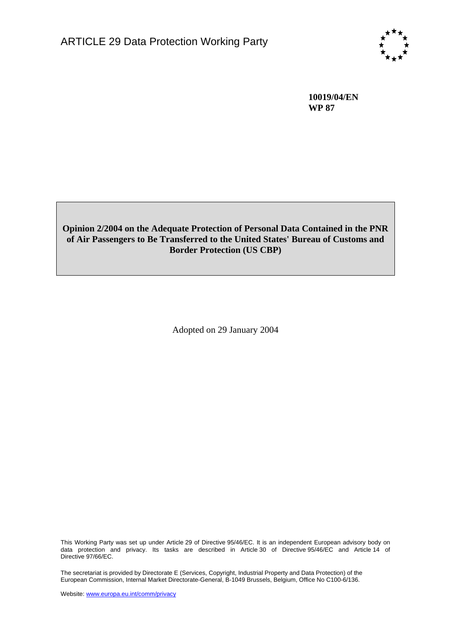

**10019/04/EN WP 87** 

# **Opinion 2/2004 on the Adequate Protection of Personal Data Contained in the PNR of Air Passengers to Be Transferred to the United States' Bureau of Customs and Border Protection (US CBP)**

Adopted on 29 January 2004

This Working Party was set up under Article 29 of Directive 95/46/EC. It is an independent European advisory body on data protection and privacy. Its tasks are described in Article 30 of Directive 95/46/EC and Article 14 of Directive 97/66/EC.

The secretariat is provided by Directorate E (Services, Copyright, Industrial Property and Data Protection) of the European Commission, Internal Market Directorate-General, B-1049 Brussels, Belgium, Office No C100-6/136.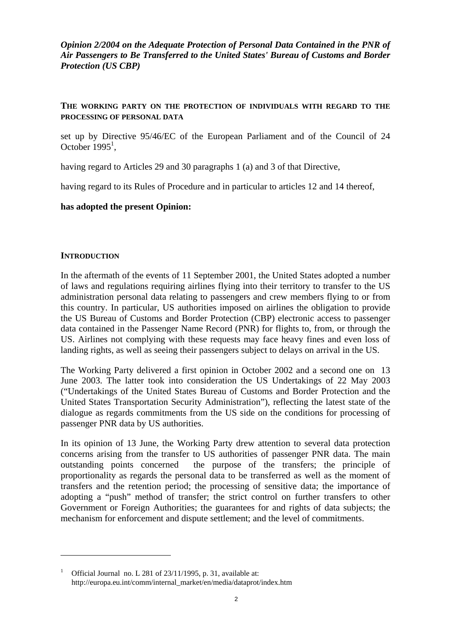*Opinion 2/2004 on the Adequate Protection of Personal Data Contained in the PNR of Air Passengers to Be Transferred to the United States' Bureau of Customs and Border Protection (US CBP)* 

#### **THE WORKING PARTY ON THE PROTECTION OF INDIVIDUALS WITH REGARD TO THE PROCESSING OF PERSONAL DATA**

set up by Directive 95/46/EC of the European Parliament and of the Council of 24 October  $1995<sup>1</sup>$ ,

having regard to Articles 29 and 30 paragraphs 1 (a) and 3 of that Directive,

having regard to its Rules of Procedure and in particular to articles 12 and 14 thereof,

### **has adopted the present Opinion:**

#### **INTRODUCTION**

 $\overline{a}$ 

In the aftermath of the events of 11 September 2001, the United States adopted a number of laws and regulations requiring airlines flying into their territory to transfer to the US administration personal data relating to passengers and crew members flying to or from this country. In particular, US authorities imposed on airlines the obligation to provide the US Bureau of Customs and Border Protection (CBP) electronic access to passenger data contained in the Passenger Name Record (PNR) for flights to, from, or through the US. Airlines not complying with these requests may face heavy fines and even loss of landing rights, as well as seeing their passengers subject to delays on arrival in the US.

The Working Party delivered a first opinion in October 2002 and a second one on 13 June 2003. The latter took into consideration the US Undertakings of 22 May 2003 ("Undertakings of the United States Bureau of Customs and Border Protection and the United States Transportation Security Administration"), reflecting the latest state of the dialogue as regards commitments from the US side on the conditions for processing of passenger PNR data by US authorities.

In its opinion of 13 June, the Working Party drew attention to several data protection concerns arising from the transfer to US authorities of passenger PNR data. The main outstanding points concerned the purpose of the transfers; the principle of proportionality as regards the personal data to be transferred as well as the moment of transfers and the retention period; the processing of sensitive data; the importance of adopting a "push" method of transfer; the strict control on further transfers to other Government or Foreign Authorities; the guarantees for and rights of data subjects; the mechanism for enforcement and dispute settlement; and the level of commitments.

<sup>&</sup>lt;sup>1</sup> Official Journal no. L 281 of  $23/11/1995$ , p. 31, available at: http://europa.eu.int/comm/internal\_market/en/media/dataprot/index.htm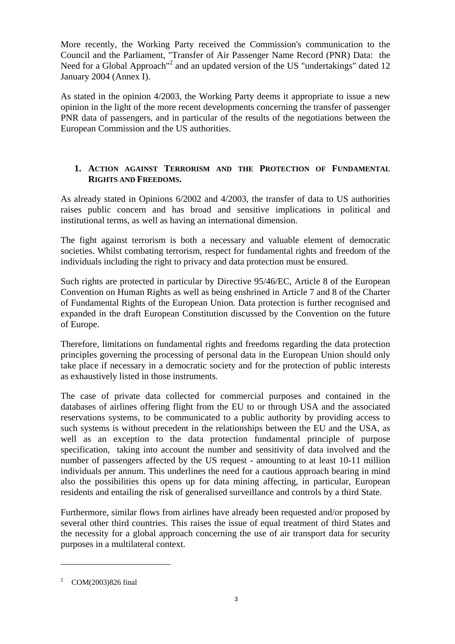More recently, the Working Party received the Commission's communication to the Council and the Parliament, "Transfer of Air Passenger Name Record (PNR) Data: the Need for a Global Approach<sup>"2</sup> and an updated version of the US "undertakings" dated 12 January 2004 (Annex I).

As stated in the opinion 4/2003, the Working Party deems it appropriate to issue a new opinion in the light of the more recent developments concerning the transfer of passenger PNR data of passengers, and in particular of the results of the negotiations between the European Commission and the US authorities.

# **1. ACTION AGAINST TERRORISM AND THE PROTECTION OF FUNDAMENTAL RIGHTS AND FREEDOMS.**

As already stated in Opinions 6/2002 and 4/2003, the transfer of data to US authorities raises public concern and has broad and sensitive implications in political and institutional terms, as well as having an international dimension.

The fight against terrorism is both a necessary and valuable element of democratic societies. Whilst combating terrorism, respect for fundamental rights and freedom of the individuals including the right to privacy and data protection must be ensured.

Such rights are protected in particular by Directive 95/46/EC, Article 8 of the European Convention on Human Rights as well as being enshrined in Article 7 and 8 of the Charter of Fundamental Rights of the European Union. Data protection is further recognised and expanded in the draft European Constitution discussed by the Convention on the future of Europe.

Therefore, limitations on fundamental rights and freedoms regarding the data protection principles governing the processing of personal data in the European Union should only take place if necessary in a democratic society and for the protection of public interests as exhaustively listed in those instruments.

The case of private data collected for commercial purposes and contained in the databases of airlines offering flight from the EU to or through USA and the associated reservations systems, to be communicated to a public authority by providing access to such systems is without precedent in the relationships between the EU and the USA, as well as an exception to the data protection fundamental principle of purpose specification, taking into account the number and sensitivity of data involved and the number of passengers affected by the US request - amounting to at least 10-11 million individuals per annum. This underlines the need for a cautious approach bearing in mind also the possibilities this opens up for data mining affecting, in particular, European residents and entailing the risk of generalised surveillance and controls by a third State.

Furthermore, similar flows from airlines have already been requested and/or proposed by several other third countries. This raises the issue of equal treatment of third States and the necessity for a global approach concerning the use of air transport data for security purposes in a multilateral context.

 $\overline{a}$ 

<sup>&</sup>lt;sup>2</sup> COM(2003)826 final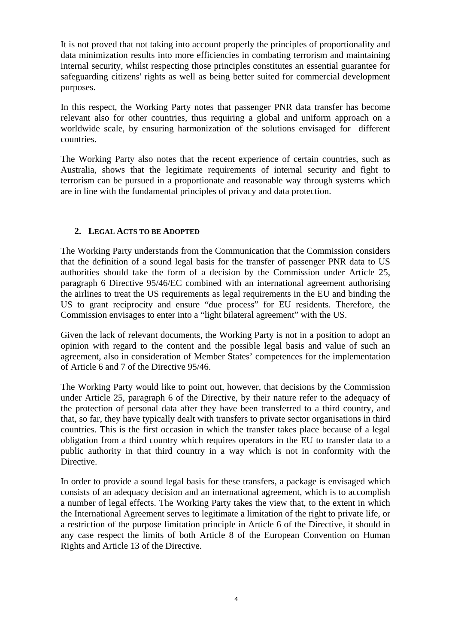It is not proved that not taking into account properly the principles of proportionality and data minimization results into more efficiencies in combating terrorism and maintaining internal security, whilst respecting those principles constitutes an essential guarantee for safeguarding citizens' rights as well as being better suited for commercial development purposes.

In this respect, the Working Party notes that passenger PNR data transfer has become relevant also for other countries, thus requiring a global and uniform approach on a worldwide scale, by ensuring harmonization of the solutions envisaged for different countries.

The Working Party also notes that the recent experience of certain countries, such as Australia, shows that the legitimate requirements of internal security and fight to terrorism can be pursued in a proportionate and reasonable way through systems which are in line with the fundamental principles of privacy and data protection.

#### **2. LEGAL ACTS TO BE ADOPTED**

The Working Party understands from the Communication that the Commission considers that the definition of a sound legal basis for the transfer of passenger PNR data to US authorities should take the form of a decision by the Commission under Article 25, paragraph 6 Directive 95/46/EC combined with an international agreement authorising the airlines to treat the US requirements as legal requirements in the EU and binding the US to grant reciprocity and ensure "due process" for EU residents. Therefore, the Commission envisages to enter into a "light bilateral agreement" with the US.

Given the lack of relevant documents, the Working Party is not in a position to adopt an opinion with regard to the content and the possible legal basis and value of such an agreement, also in consideration of Member States' competences for the implementation of Article 6 and 7 of the Directive 95/46.

The Working Party would like to point out, however, that decisions by the Commission under Article 25, paragraph 6 of the Directive, by their nature refer to the adequacy of the protection of personal data after they have been transferred to a third country, and that, so far, they have typically dealt with transfers to private sector organisations in third countries. This is the first occasion in which the transfer takes place because of a legal obligation from a third country which requires operators in the EU to transfer data to a public authority in that third country in a way which is not in conformity with the Directive.

In order to provide a sound legal basis for these transfers, a package is envisaged which consists of an adequacy decision and an international agreement, which is to accomplish a number of legal effects. The Working Party takes the view that, to the extent in which the International Agreement serves to legitimate a limitation of the right to private life, or a restriction of the purpose limitation principle in Article 6 of the Directive, it should in any case respect the limits of both Article 8 of the European Convention on Human Rights and Article 13 of the Directive.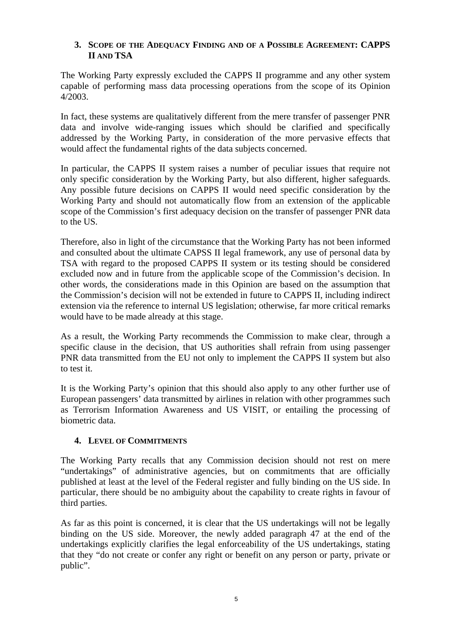## **3. SCOPE OF THE ADEQUACY FINDING AND OF A POSSIBLE AGREEMENT: CAPPS II AND TSA**

The Working Party expressly excluded the CAPPS II programme and any other system capable of performing mass data processing operations from the scope of its Opinion 4/2003.

In fact, these systems are qualitatively different from the mere transfer of passenger PNR data and involve wide-ranging issues which should be clarified and specifically addressed by the Working Party, in consideration of the more pervasive effects that would affect the fundamental rights of the data subjects concerned.

In particular, the CAPPS II system raises a number of peculiar issues that require not only specific consideration by the Working Party, but also different, higher safeguards. Any possible future decisions on CAPPS II would need specific consideration by the Working Party and should not automatically flow from an extension of the applicable scope of the Commission's first adequacy decision on the transfer of passenger PNR data to the US.

Therefore, also in light of the circumstance that the Working Party has not been informed and consulted about the ultimate CAPSS II legal framework, any use of personal data by TSA with regard to the proposed CAPPS II system or its testing should be considered excluded now and in future from the applicable scope of the Commission's decision. In other words, the considerations made in this Opinion are based on the assumption that the Commission's decision will not be extended in future to CAPPS II, including indirect extension via the reference to internal US legislation; otherwise, far more critical remarks would have to be made already at this stage.

As a result, the Working Party recommends the Commission to make clear, through a specific clause in the decision, that US authorities shall refrain from using passenger PNR data transmitted from the EU not only to implement the CAPPS II system but also to test it.

It is the Working Party's opinion that this should also apply to any other further use of European passengers' data transmitted by airlines in relation with other programmes such as Terrorism Information Awareness and US VISIT, or entailing the processing of biometric data.

## **4. LEVEL OF COMMITMENTS**

The Working Party recalls that any Commission decision should not rest on mere "undertakings" of administrative agencies, but on commitments that are officially published at least at the level of the Federal register and fully binding on the US side. In particular, there should be no ambiguity about the capability to create rights in favour of third parties.

As far as this point is concerned, it is clear that the US undertakings will not be legally binding on the US side. Moreover, the newly added paragraph 47 at the end of the undertakings explicitly clarifies the legal enforceability of the US undertakings, stating that they "do not create or confer any right or benefit on any person or party, private or public".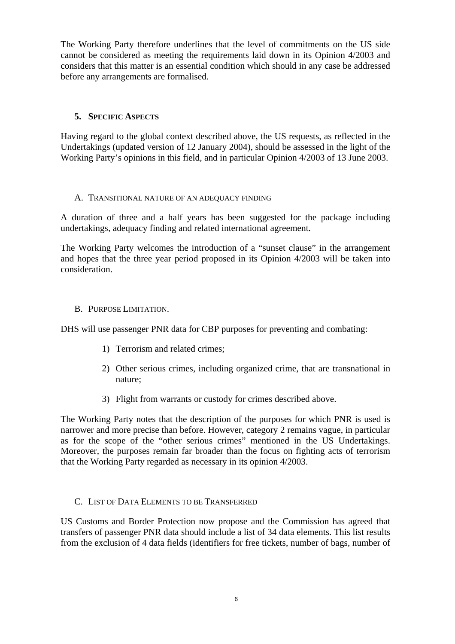The Working Party therefore underlines that the level of commitments on the US side cannot be considered as meeting the requirements laid down in its Opinion 4/2003 and considers that this matter is an essential condition which should in any case be addressed before any arrangements are formalised.

## **5. SPECIFIC ASPECTS**

Having regard to the global context described above, the US requests, as reflected in the Undertakings (updated version of 12 January 2004), should be assessed in the light of the Working Party's opinions in this field, and in particular Opinion 4/2003 of 13 June 2003.

#### A. TRANSITIONAL NATURE OF AN ADEQUACY FINDING

A duration of three and a half years has been suggested for the package including undertakings, adequacy finding and related international agreement.

The Working Party welcomes the introduction of a "sunset clause" in the arrangement and hopes that the three year period proposed in its Opinion 4/2003 will be taken into consideration.

### B. PURPOSE LIMITATION.

DHS will use passenger PNR data for CBP purposes for preventing and combating:

- 1) Terrorism and related crimes;
- 2) Other serious crimes, including organized crime, that are transnational in nature;
- 3) Flight from warrants or custody for crimes described above.

The Working Party notes that the description of the purposes for which PNR is used is narrower and more precise than before. However, category 2 remains vague, in particular as for the scope of the "other serious crimes" mentioned in the US Undertakings. Moreover, the purposes remain far broader than the focus on fighting acts of terrorism that the Working Party regarded as necessary in its opinion 4/2003.

#### C. LIST OF DATA ELEMENTS TO BE TRANSFERRED

US Customs and Border Protection now propose and the Commission has agreed that transfers of passenger PNR data should include a list of 34 data elements. This list results from the exclusion of 4 data fields (identifiers for free tickets, number of bags, number of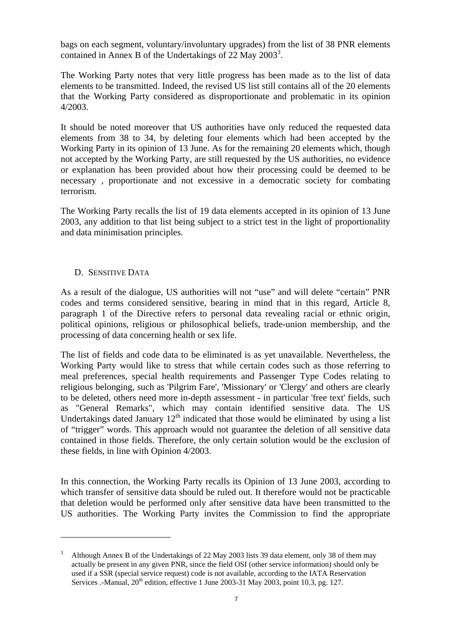bags on each segment, voluntary/involuntary upgrades) from the list of 38 PNR elements contained in Annex B of the Undertakings of 22 May 2003<sup>3</sup>.

The Working Party notes that very little progress has been made as to the list of data elements to be transmitted. Indeed, the revised US list still contains all of the 20 elements that the Working Party considered as disproportionate and problematic in its opinion 4/2003.

It should be noted moreover that US authorities have only reduced the requested data elements from 38 to 34, by deleting four elements which had been accepted by the Working Party in its opinion of 13 June. As for the remaining 20 elements which, though not accepted by the Working Party, are still requested by the US authorities, no evidence or explanation has been provided about how their processing could be deemed to be necessary , proportionate and not excessive in a democratic society for combating terrorism.

The Working Party recalls the list of 19 data elements accepted in its opinion of 13 June 2003, any addition to that list being subject to a strict test in the light of proportionality and data minimisation principles.

#### D. SENSITIVE DATA

 $\overline{a}$ 

As a result of the dialogue, US authorities will not "use" and will delete "certain" PNR codes and terms considered sensitive, bearing in mind that in this regard, Article 8, paragraph 1 of the Directive refers to personal data revealing racial or ethnic origin, political opinions, religious or philosophical beliefs, trade-union membership, and the processing of data concerning health or sex life.

The list of fields and code data to be eliminated is as yet unavailable. Nevertheless, the Working Party would like to stress that while certain codes such as those referring to meal preferences, special health requirements and Passenger Type Codes relating to religious belonging, such as 'Pilgrim Fare', 'Missionary' or 'Clergy' and others are clearly to be deleted, others need more in-depth assessment - in particular 'free text' fields, such as "General Remarks", which may contain identified sensitive data. The US Undertakings dated January  $12<sup>th</sup>$  indicated that those would be eliminated by using a list of "trigger" words. This approach would not guarantee the deletion of all sensitive data contained in those fields. Therefore, the only certain solution would be the exclusion of these fields, in line with Opinion 4/2003.

In this connection, the Working Party recalls its Opinion of 13 June 2003, according to which transfer of sensitive data should be ruled out. It therefore would not be practicable that deletion would be performed only after sensitive data have been transmitted to the US authorities. The Working Party invites the Commission to find the appropriate

<sup>3</sup> Although Annex B of the Undertakings of 22 May 2003 lists 39 data element, only 38 of them may actually be present in any given PNR, since the field OSI (other service information) should only be used if a SSR (special service request) code is not available, according to the IATA Reservation Services .-Manual, 20<sup>th</sup> edition, effective 1 June 2003-31 May 2003, point 10.3, pg. 127.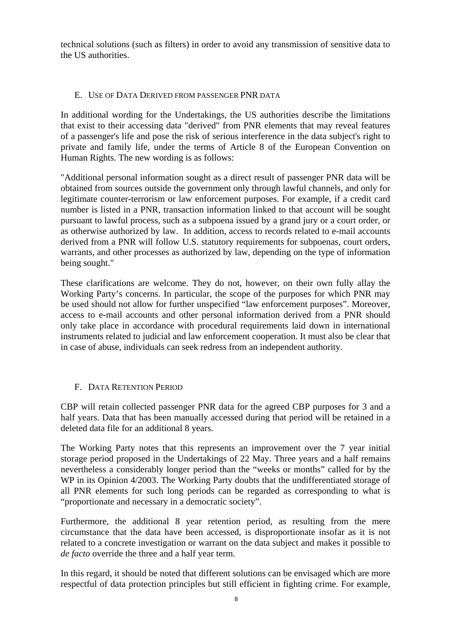technical solutions (such as filters) in order to avoid any transmission of sensitive data to the US authorities.

## E. USE OF DATA DERIVED FROM PASSENGER PNR DATA

In additional wording for the Undertakings, the US authorities describe the limitations that exist to their accessing data "derived" from PNR elements that may reveal features of a passenger's life and pose the risk of serious interference in the data subject's right to private and family life, under the terms of Article 8 of the European Convention on Human Rights. The new wording is as follows:

"Additional personal information sought as a direct result of passenger PNR data will be obtained from sources outside the government only through lawful channels, and only for legitimate counter-terrorism or law enforcement purposes. For example, if a credit card number is listed in a PNR, transaction information linked to that account will be sought pursuant to lawful process, such as a subpoena issued by a grand jury or a court order, or as otherwise authorized by law. In addition, access to records related to e-mail accounts derived from a PNR will follow U.S. statutory requirements for subpoenas, court orders, warrants, and other processes as authorized by law, depending on the type of information being sought."

These clarifications are welcome. They do not, however, on their own fully allay the Working Party's concerns. In particular, the scope of the purposes for which PNR may be used should not allow for further unspecified "law enforcement purposes". Moreover, access to e-mail accounts and other personal information derived from a PNR should only take place in accordance with procedural requirements laid down in international instruments related to judicial and law enforcement cooperation. It must also be clear that in case of abuse, individuals can seek redress from an independent authority.

## F. DATA RETENTION PERIOD

CBP will retain collected passenger PNR data for the agreed CBP purposes for 3 and a half years. Data that has been manually accessed during that period will be retained in a deleted data file for an additional 8 years.

The Working Party notes that this represents an improvement over the 7 year initial storage period proposed in the Undertakings of 22 May. Three years and a half remains nevertheless a considerably longer period than the "weeks or months" called for by the WP in its Opinion 4/2003. The Working Party doubts that the undifferentiated storage of all PNR elements for such long periods can be regarded as corresponding to what is "proportionate and necessary in a democratic society".

Furthermore, the additional 8 year retention period, as resulting from the mere circumstance that the data have been accessed, is disproportionate insofar as it is not related to a concrete investigation or warrant on the data subject and makes it possible to *de facto* override the three and a half year term.

In this regard, it should be noted that different solutions can be envisaged which are more respectful of data protection principles but still efficient in fighting crime. For example,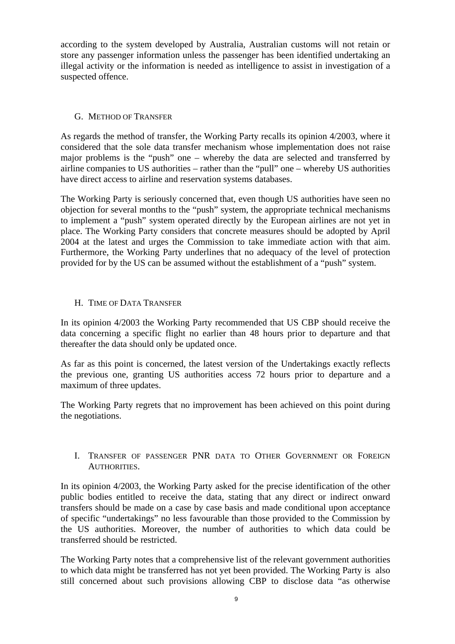according to the system developed by Australia, Australian customs will not retain or store any passenger information unless the passenger has been identified undertaking an illegal activity or the information is needed as intelligence to assist in investigation of a suspected offence.

### G. METHOD OF TRANSFER

As regards the method of transfer, the Working Party recalls its opinion 4/2003, where it considered that the sole data transfer mechanism whose implementation does not raise major problems is the "push" one – whereby the data are selected and transferred by airline companies to US authorities – rather than the "pull" one – whereby US authorities have direct access to airline and reservation systems databases.

The Working Party is seriously concerned that, even though US authorities have seen no objection for several months to the "push" system, the appropriate technical mechanisms to implement a "push" system operated directly by the European airlines are not yet in place. The Working Party considers that concrete measures should be adopted by April 2004 at the latest and urges the Commission to take immediate action with that aim. Furthermore, the Working Party underlines that no adequacy of the level of protection provided for by the US can be assumed without the establishment of a "push" system.

### H. TIME OF DATA TRANSFER

In its opinion 4/2003 the Working Party recommended that US CBP should receive the data concerning a specific flight no earlier than 48 hours prior to departure and that thereafter the data should only be updated once.

As far as this point is concerned, the latest version of the Undertakings exactly reflects the previous one, granting US authorities access 72 hours prior to departure and a maximum of three updates.

The Working Party regrets that no improvement has been achieved on this point during the negotiations.

### I. TRANSFER OF PASSENGER PNR DATA TO OTHER GOVERNMENT OR FOREIGN AUTHORITIES.

In its opinion 4/2003, the Working Party asked for the precise identification of the other public bodies entitled to receive the data, stating that any direct or indirect onward transfers should be made on a case by case basis and made conditional upon acceptance of specific "undertakings" no less favourable than those provided to the Commission by the US authorities. Moreover, the number of authorities to which data could be transferred should be restricted.

The Working Party notes that a comprehensive list of the relevant government authorities to which data might be transferred has not yet been provided. The Working Party is also still concerned about such provisions allowing CBP to disclose data "as otherwise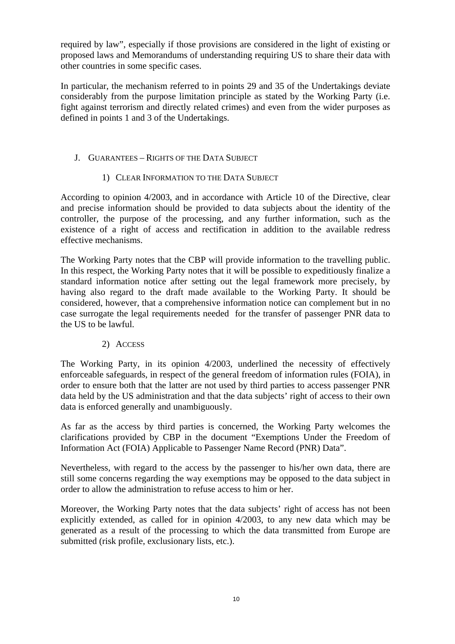required by law", especially if those provisions are considered in the light of existing or proposed laws and Memorandums of understanding requiring US to share their data with other countries in some specific cases.

In particular, the mechanism referred to in points 29 and 35 of the Undertakings deviate considerably from the purpose limitation principle as stated by the Working Party (i.e. fight against terrorism and directly related crimes) and even from the wider purposes as defined in points 1 and 3 of the Undertakings.

### J. GUARANTEES – RIGHTS OF THE DATA SUBJECT

### 1) CLEAR INFORMATION TO THE DATA SUBJECT

According to opinion 4/2003, and in accordance with Article 10 of the Directive, clear and precise information should be provided to data subjects about the identity of the controller, the purpose of the processing, and any further information, such as the existence of a right of access and rectification in addition to the available redress effective mechanisms.

The Working Party notes that the CBP will provide information to the travelling public. In this respect, the Working Party notes that it will be possible to expeditiously finalize a standard information notice after setting out the legal framework more precisely, by having also regard to the draft made available to the Working Party. It should be considered, however, that a comprehensive information notice can complement but in no case surrogate the legal requirements needed for the transfer of passenger PNR data to the US to be lawful.

#### 2) ACCESS

The Working Party, in its opinion 4/2003, underlined the necessity of effectively enforceable safeguards, in respect of the general freedom of information rules (FOIA), in order to ensure both that the latter are not used by third parties to access passenger PNR data held by the US administration and that the data subjects' right of access to their own data is enforced generally and unambiguously.

As far as the access by third parties is concerned, the Working Party welcomes the clarifications provided by CBP in the document "Exemptions Under the Freedom of Information Act (FOIA) Applicable to Passenger Name Record (PNR) Data".

Nevertheless, with regard to the access by the passenger to his/her own data, there are still some concerns regarding the way exemptions may be opposed to the data subject in order to allow the administration to refuse access to him or her.

Moreover, the Working Party notes that the data subjects' right of access has not been explicitly extended, as called for in opinion 4/2003, to any new data which may be generated as a result of the processing to which the data transmitted from Europe are submitted (risk profile, exclusionary lists, etc.).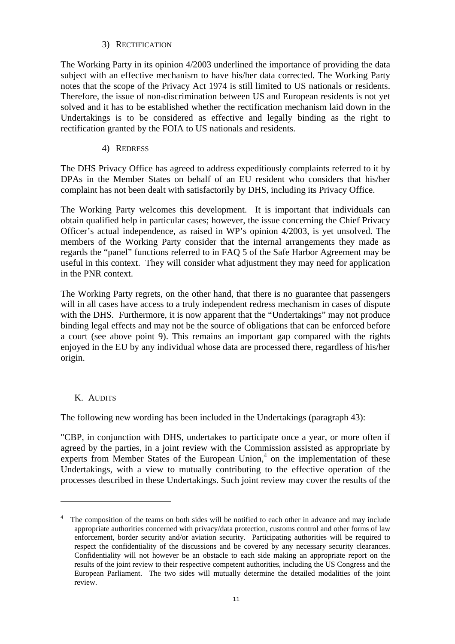### 3) RECTIFICATION

The Working Party in its opinion 4/2003 underlined the importance of providing the data subject with an effective mechanism to have his/her data corrected. The Working Party notes that the scope of the Privacy Act 1974 is still limited to US nationals or residents. Therefore, the issue of non-discrimination between US and European residents is not yet solved and it has to be established whether the rectification mechanism laid down in the Undertakings is to be considered as effective and legally binding as the right to rectification granted by the FOIA to US nationals and residents.

### 4) REDRESS

The DHS Privacy Office has agreed to address expeditiously complaints referred to it by DPAs in the Member States on behalf of an EU resident who considers that his/her complaint has not been dealt with satisfactorily by DHS, including its Privacy Office.

The Working Party welcomes this development. It is important that individuals can obtain qualified help in particular cases; however, the issue concerning the Chief Privacy Officer's actual independence, as raised in WP's opinion 4/2003, is yet unsolved. The members of the Working Party consider that the internal arrangements they made as regards the "panel" functions referred to in FAQ 5 of the Safe Harbor Agreement may be useful in this context. They will consider what adjustment they may need for application in the PNR context.

The Working Party regrets, on the other hand, that there is no guarantee that passengers will in all cases have access to a truly independent redress mechanism in cases of dispute with the DHS. Furthermore, it is now apparent that the "Undertakings" may not produce binding legal effects and may not be the source of obligations that can be enforced before a court (see above point 9). This remains an important gap compared with the rights enjoyed in the EU by any individual whose data are processed there, regardless of his/her origin.

## K. AUDITS

 $\overline{a}$ 

The following new wording has been included in the Undertakings (paragraph 43):

"CBP, in conjunction with DHS, undertakes to participate once a year, or more often if agreed by the parties, in a joint review with the Commission assisted as appropriate by experts from Member States of the European Union,<sup>4</sup> on the implementation of these Undertakings, with a view to mutually contributing to the effective operation of the processes described in these Undertakings. Such joint review may cover the results of the

<sup>4</sup> The composition of the teams on both sides will be notified to each other in advance and may include appropriate authorities concerned with privacy/data protection, customs control and other forms of law enforcement, border security and/or aviation security. Participating authorities will be required to respect the confidentiality of the discussions and be covered by any necessary security clearances. Confidentiality will not however be an obstacle to each side making an appropriate report on the results of the joint review to their respective competent authorities, including the US Congress and the European Parliament. The two sides will mutually determine the detailed modalities of the joint review.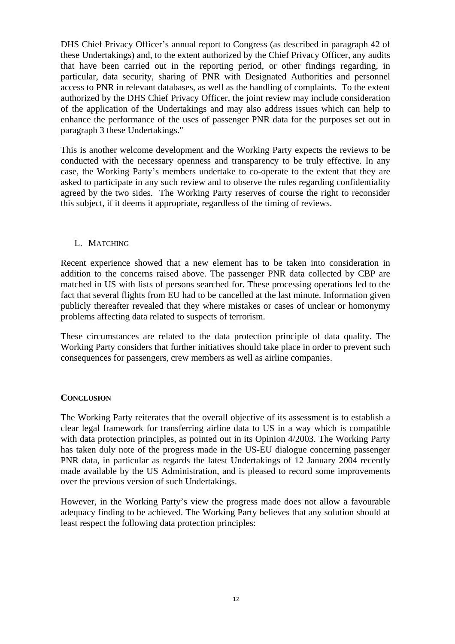DHS Chief Privacy Officer's annual report to Congress (as described in paragraph 42 of these Undertakings) and, to the extent authorized by the Chief Privacy Officer, any audits that have been carried out in the reporting period, or other findings regarding, in particular, data security, sharing of PNR with Designated Authorities and personnel access to PNR in relevant databases, as well as the handling of complaints. To the extent authorized by the DHS Chief Privacy Officer, the joint review may include consideration of the application of the Undertakings and may also address issues which can help to enhance the performance of the uses of passenger PNR data for the purposes set out in paragraph 3 these Undertakings."

This is another welcome development and the Working Party expects the reviews to be conducted with the necessary openness and transparency to be truly effective. In any case, the Working Party's members undertake to co-operate to the extent that they are asked to participate in any such review and to observe the rules regarding confidentiality agreed by the two sides. The Working Party reserves of course the right to reconsider this subject, if it deems it appropriate, regardless of the timing of reviews.

#### L. MATCHING

Recent experience showed that a new element has to be taken into consideration in addition to the concerns raised above. The passenger PNR data collected by CBP are matched in US with lists of persons searched for. These processing operations led to the fact that several flights from EU had to be cancelled at the last minute. Information given publicly thereafter revealed that they where mistakes or cases of unclear or homonymy problems affecting data related to suspects of terrorism.

These circumstances are related to the data protection principle of data quality. The Working Party considers that further initiatives should take place in order to prevent such consequences for passengers, crew members as well as airline companies.

#### **CONCLUSION**

The Working Party reiterates that the overall objective of its assessment is to establish a clear legal framework for transferring airline data to US in a way which is compatible with data protection principles, as pointed out in its Opinion 4/2003. The Working Party has taken duly note of the progress made in the US-EU dialogue concerning passenger PNR data, in particular as regards the latest Undertakings of 12 January 2004 recently made available by the US Administration, and is pleased to record some improvements over the previous version of such Undertakings.

However, in the Working Party's view the progress made does not allow a favourable adequacy finding to be achieved. The Working Party believes that any solution should at least respect the following data protection principles: